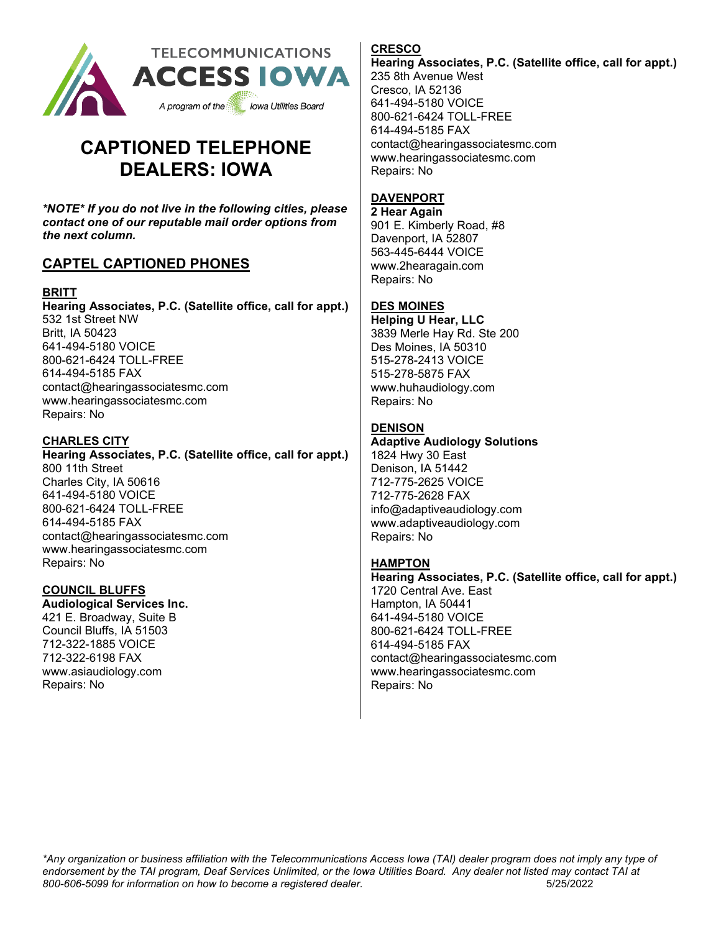

# **CAPTIONED TELEPHONE DEALERS: IOWA**

*\*NOTE\* If you do not live in the following cities, please contact one of our reputable mail order options from the next column.* 

# **CAPTEL CAPTIONED PHONES**

# **BRITT**

**Hearing Associates, P.C. (Satellite office, call for appt.)** 532 1st Street NW Britt, IA 50423 641-494-5180 VOICE 800-621-6424 TOLL-FREE 614-494-5185 FAX contact@hearingassociatesmc.com www.hearingassociatesmc.com Repairs: No

## **CHARLES CITY**

**Hearing Associates, P.C. (Satellite office, call for appt.)** 800 11th Street Charles City, IA 50616 641-494-5180 VOICE 800-621-6424 TOLL-FREE 614-494-5185 FAX contact@hearingassociatesmc.com www.hearingassociatesmc.com Repairs: No

## **COUNCIL BLUFFS**

**Audiological Services Inc.** 421 E. Broadway, Suite B Council Bluffs, IA 51503 712-322-1885 VOICE 712-322-6198 FAX www.asiaudiology.com Repairs: No

# **CRESCO**

**Hearing Associates, P.C. (Satellite office, call for appt.)** 235 8th Avenue West Cresco, IA 52136 641-494-5180 VOICE 800-621-6424 TOLL-FREE 614-494-5185 FAX contact@hearingassociatesmc.com www.hearingassociatesmc.com Repairs: No

# **DAVENPORT**

**2 Hear Again** 901 E. Kimberly Road, #8 Davenport, IA 52807 563-445-6444 VOICE www.2hearagain.com Repairs: No

# **DES MOINES**

**Helping U Hear, LLC** 3839 Merle Hay Rd. Ste 200 Des Moines, IA 50310 515-278-2413 VOICE 515-278-5875 FAX www.huhaudiology.com Repairs: No

# **DENISON**

**Adaptive Audiology Solutions**

1824 Hwy 30 East Denison, IA 51442 712-775-2625 VOICE 712-775-2628 FAX info@adaptiveaudiology.com www.adaptiveaudiology.com Repairs: No

# **HAMPTON**

**Hearing Associates, P.C. (Satellite office, call for appt.)** 1720 Central Ave. East Hampton, IA 50441 641-494-5180 VOICE 800-621-6424 TOLL-FREE 614-494-5185 FAX contact@hearingassociatesmc.com www.hearingassociatesmc.com Repairs: No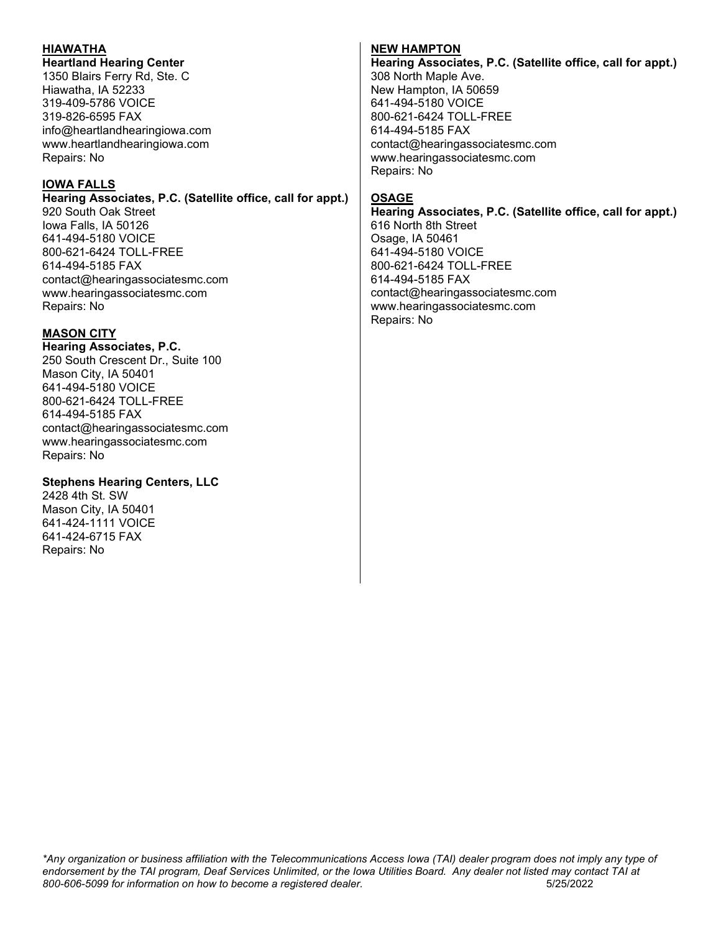## **HIAWATHA**

#### **Heartland Hearing Center**

1350 Blairs Ferry Rd, Ste. C Hiawatha, IA 52233 319-409-5786 VOICE 319-826-6595 FAX info@heartlandhearingiowa.com www.heartlandhearingiowa.com Repairs: No

#### **IOWA FALLS**

**Hearing Associates, P.C. (Satellite office, call for appt.)** 920 South Oak Street Iowa Falls, IA 50126 641-494-5180 VOICE 800-621-6424 TOLL-FREE 614-494-5185 FAX contact@hearingassociatesmc.com www.hearingassociatesmc.com Repairs: No

## **MASON CITY**

**Hearing Associates, P.C.** 250 South Crescent Dr., Suite 100 Mason City, IA 50401 641-494-5180 VOICE 800-621-6424 TOLL-FREE 614-494-5185 FAX contact@hearingassociatesmc.com www.hearingassociatesmc.com Repairs: No

## **Stephens Hearing Centers, LLC**

2428 4th St. SW Mason City, IA 50401 641-424-1111 VOICE 641-424-6715 FAX Repairs: No

#### **NEW HAMPTON**

**Hearing Associates, P.C. (Satellite office, call for appt.)** 308 North Maple Ave. New Hampton, IA 50659 641-494-5180 VOICE 800-621-6424 TOLL-FREE 614-494-5185 FAX contact@hearingassociatesmc.com www.hearingassociatesmc.com Repairs: No

## **OSAGE**

**Hearing Associates, P.C. (Satellite office, call for appt.)** 616 North 8th Street Osage, IA 50461 641-494-5180 VOICE 800-621-6424 TOLL-FREE 614-494-5185 FAX contact@hearingassociatesmc.com www.hearingassociatesmc.com Repairs: No